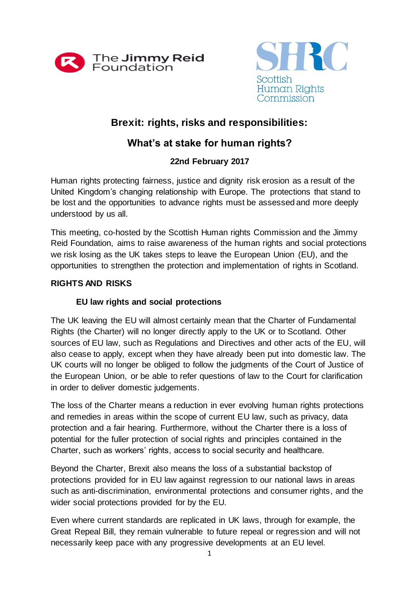



# **Brexit: rights, risks and responsibilities:**

# **What's at stake for human rights?**

## **22nd February 2017**

Human rights protecting fairness, justice and dignity risk erosion as a result of the United Kingdom's changing relationship with Europe. The protections that stand to be lost and the opportunities to advance rights must be assessed and more deeply understood by us all.

This meeting, co-hosted by the Scottish Human rights Commission and the Jimmy Reid Foundation, aims to raise awareness of the human rights and social protections we risk losing as the UK takes steps to leave the European Union (EU), and the opportunities to strengthen the protection and implementation of rights in Scotland.

## **RIGHTS AND RISKS**

## **EU law rights and social protections**

The UK leaving the EU will almost certainly mean that the Charter of Fundamental Rights (the Charter) will no longer directly apply to the UK or to Scotland. Other sources of EU law, such as Regulations and Directives and other acts of the EU, will also cease to apply, except when they have already been put into domestic law. The UK courts will no longer be obliged to follow the judgments of the Court of Justice of the European Union, or be able to refer questions of law to the Court for clarification in order to deliver domestic judgements.

The loss of the Charter means a reduction in ever evolving human rights protections and remedies in areas within the scope of current EU law, such as privacy, data protection and a fair hearing. Furthermore, without the Charter there is a loss of potential for the fuller protection of social rights and principles contained in the Charter, such as workers' rights, access to social security and healthcare.

Beyond the Charter, Brexit also means the loss of a substantial backstop of protections provided for in EU law against regression to our national laws in areas such as anti-discrimination, environmental protections and consumer rights, and the wider social protections provided for by the EU.

Even where current standards are replicated in UK laws, through for example, the Great Repeal Bill, they remain vulnerable to future repeal or regression and will not necessarily keep pace with any progressive developments at an EU level.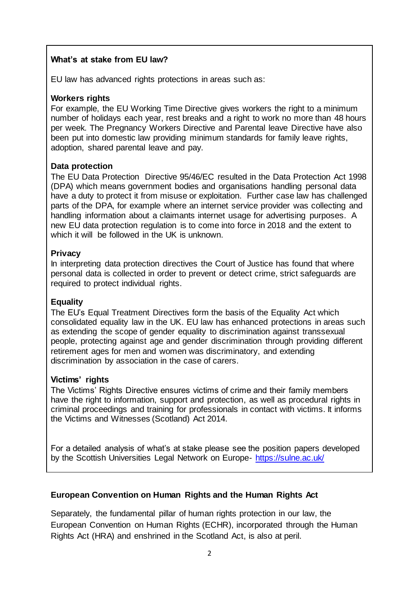## **What's at stake from EU law?**

EU law has advanced rights protections in areas such as:

#### **Workers rights**

For example, the EU Working Time Directive gives workers the right to a minimum number of holidays each year, rest breaks and a right to work no more than 48 hours per week. The Pregnancy Workers Directive and Parental leave Directive have also been put into domestic law providing minimum standards for family leave rights, adoption, shared parental leave and pay.

#### **Data protection**

The EU Data Protection Directive 95/46/EC resulted in the Data Protection Act 1998 (DPA) which means government bodies and organisations handling personal data have a duty to protect it from misuse or exploitation. Further case law has challenged parts of the DPA, for example where an internet service provider was collecting and handling information about a claimants internet usage for advertising purposes. A new EU data protection regulation is to come into force in 2018 and the extent to which it will be followed in the UK is unknown.

#### **Privacy**

In interpreting data protection directives the Court of Justice has found that where personal data is collected in order to prevent or detect crime, strict safeguards are required to protect individual rights.

## **Equality**

The EU's Equal Treatment Directives form the basis of the Equality Act which consolidated equality law in the UK. EU law has enhanced protections in areas such as extending the scope of gender equality to discrimination against transsexual people, protecting against age and gender discrimination through providing different retirement ages for men and women was discriminatory, and extending discrimination by association in the case of carers.

#### **Victims' rights**

The Victims' Rights Directive ensures victims of crime and their family members have the right to information, support and protection, as well as procedural rights in criminal proceedings and training for professionals in contact with victims. It informs the Victims and Witnesses (Scotland) Act 2014.

For a detailed analysis of what's at stake please see the position papers developed by the Scottish Universities Legal Network on Europe- <https://sulne.ac.uk/>

## **European Convention on Human Rights and the Human Rights Act**

Separately, the fundamental pillar of human rights protection in our law, the European Convention on Human Rights (ECHR), incorporated through the Human Rights Act (HRA) and enshrined in the Scotland Act, is also at peril.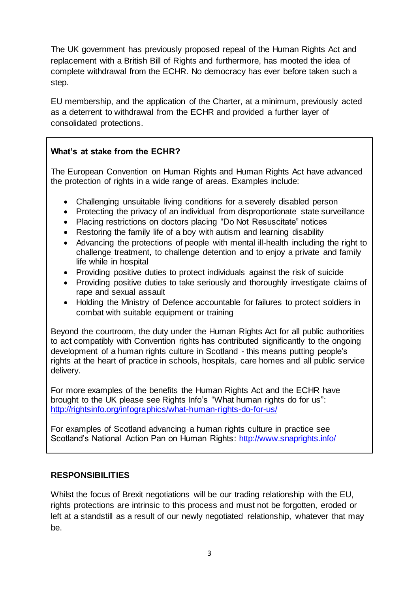The UK government has previously proposed repeal of the Human Rights Act and replacement with a British Bill of Rights and furthermore, has mooted the idea of complete withdrawal from the ECHR. No democracy has ever before taken such a step.

EU membership, and the application of the Charter, at a minimum, previously acted as a deterrent to withdrawal from the ECHR and provided a further layer of consolidated protections.

## **What's at stake from the ECHR?**

The European Convention on Human Rights and Human Rights Act have advanced the protection of rights in a wide range of areas. Examples include:

- Challenging unsuitable living conditions for a severely disabled person
- Protecting the privacy of an individual from disproportionate state surveillance
- Placing restrictions on doctors placing "Do Not Resuscitate" notices
- Restoring the family life of a boy with autism and learning disability
- Advancing the protections of people with mental ill-health including the right to challenge treatment, to challenge detention and to enjoy a private and family life while in hospital
- Providing positive duties to protect individuals against the risk of suicide
- Providing positive duties to take seriously and thoroughly investigate claims of rape and sexual assault
- Holding the Ministry of Defence accountable for failures to protect soldiers in combat with suitable equipment or training

Beyond the courtroom, the duty under the Human Rights Act for all public authorities to act compatibly with Convention rights has contributed significantly to the ongoing development of a human rights culture in Scotland - this means putting people's rights at the heart of practice in schools, hospitals, care homes and all public service delivery.

For more examples of the benefits the Human Rights Act and the ECHR have brought to the UK please see Rights Info's "What human rights do for us": <http://rightsinfo.org/infographics/what-human-rights-do-for-us/>

For examples of Scotland advancing a human rights culture in practice see Scotland's National Action Pan on Human Rights: <http://www.snaprights.info/>

## **RESPONSIBILITIES**

Whilst the focus of Brexit negotiations will be our trading relationship with the EU, rights protections are intrinsic to this process and must not be forgotten, eroded or left at a standstill as a result of our newly negotiated relationship, whatever that may be.